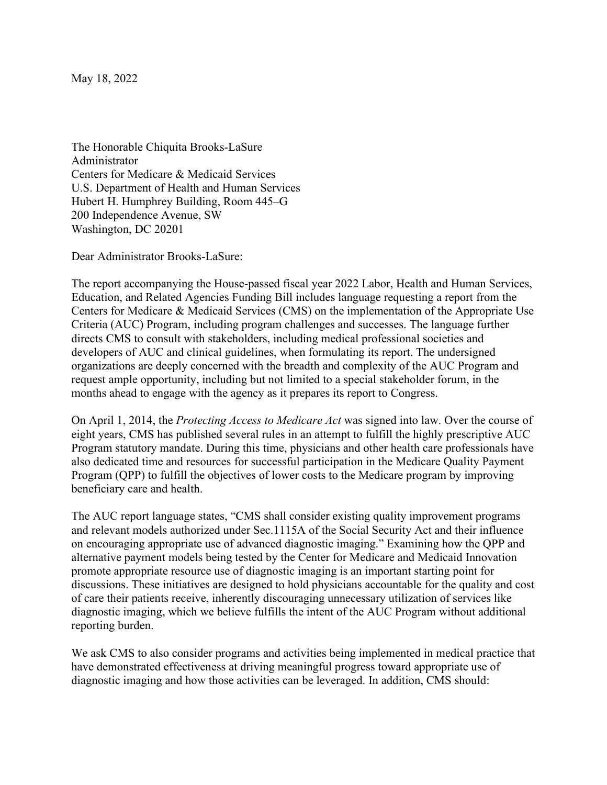May 18, 2022

The Honorable Chiquita Brooks-LaSure Administrator Centers for Medicare & Medicaid Services U.S. Department of Health and Human Services Hubert H. Humphrey Building, Room 445–G 200 Independence Avenue, SW Washington, DC 20201

Dear Administrator Brooks-LaSure:

The report accompanying the House-passed fiscal year 2022 Labor, Health and Human Services, Education, and Related Agencies Funding Bill includes language requesting a report from the Centers for Medicare & Medicaid Services (CMS) on the implementation of the Appropriate Use Criteria (AUC) Program, including program challenges and successes. The language further directs CMS to consult with stakeholders, including medical professional societies and developers of AUC and clinical guidelines, when formulating its report. The undersigned organizations are deeply concerned with the breadth and complexity of the AUC Program and request ample opportunity, including but not limited to a special stakeholder forum, in the months ahead to engage with the agency as it prepares its report to Congress.

On April 1, 2014, the *Protecting Access to Medicare Act* was signed into law. Over the course of eight years, CMS has published several rules in an attempt to fulfill the highly prescriptive AUC Program statutory mandate. During this time, physicians and other health care professionals have also dedicated time and resources for successful participation in the Medicare Quality Payment Program (QPP) to fulfill the objectives of lower costs to the Medicare program by improving beneficiary care and health.

The AUC report language states, "CMS shall consider existing quality improvement programs and relevant models authorized under Sec.1115A of the Social Security Act and their influence on encouraging appropriate use of advanced diagnostic imaging." Examining how the QPP and alternative payment models being tested by the Center for Medicare and Medicaid Innovation promote appropriate resource use of diagnostic imaging is an important starting point for discussions. These initiatives are designed to hold physicians accountable for the quality and cost of care their patients receive, inherently discouraging unnecessary utilization of services like diagnostic imaging, which we believe fulfills the intent of the AUC Program without additional reporting burden.

We ask CMS to also consider programs and activities being implemented in medical practice that have demonstrated effectiveness at driving meaningful progress toward appropriate use of diagnostic imaging and how those activities can be leveraged. In addition, CMS should: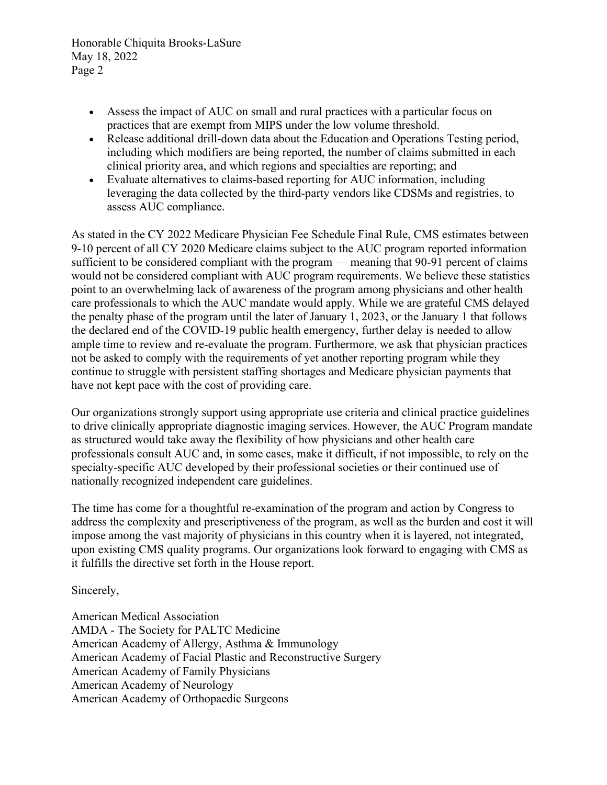Honorable Chiquita Brooks-LaSure May 18, 2022 Page 2

- Assess the impact of AUC on small and rural practices with a particular focus on practices that are exempt from MIPS under the low volume threshold.
- Release additional drill-down data about the Education and Operations Testing period, including which modifiers are being reported, the number of claims submitted in each clinical priority area, and which regions and specialties are reporting; and
- Evaluate alternatives to claims-based reporting for AUC information, including leveraging the data collected by the third-party vendors like CDSMs and registries, to assess AUC compliance.

As stated in the CY 2022 Medicare Physician Fee Schedule Final Rule, CMS estimates between 9-10 percent of all CY 2020 Medicare claims subject to the AUC program reported information sufficient to be considered compliant with the program — meaning that 90-91 percent of claims would not be considered compliant with AUC program requirements. We believe these statistics point to an overwhelming lack of awareness of the program among physicians and other health care professionals to which the AUC mandate would apply. While we are grateful CMS delayed the penalty phase of the program until the later of January 1, 2023, or the January 1 that follows the declared end of the COVID-19 public health emergency, further delay is needed to allow ample time to review and re-evaluate the program. Furthermore, we ask that physician practices not be asked to comply with the requirements of yet another reporting program while they continue to struggle with persistent staffing shortages and Medicare physician payments that have not kept pace with the cost of providing care.

Our organizations strongly support using appropriate use criteria and clinical practice guidelines to drive clinically appropriate diagnostic imaging services. However, the AUC Program mandate as structured would take away the flexibility of how physicians and other health care professionals consult AUC and, in some cases, make it difficult, if not impossible, to rely on the specialty-specific AUC developed by their professional societies or their continued use of nationally recognized independent care guidelines.

The time has come for a thoughtful re-examination of the program and action by Congress to address the complexity and prescriptiveness of the program, as well as the burden and cost it will impose among the vast majority of physicians in this country when it is layered, not integrated, upon existing CMS quality programs. Our organizations look forward to engaging with CMS as it fulfills the directive set forth in the House report.

Sincerely,

American Medical Association AMDA - The Society for PALTC Medicine American Academy of Allergy, Asthma & Immunology American Academy of Facial Plastic and Reconstructive Surgery American Academy of Family Physicians American Academy of Neurology American Academy of Orthopaedic Surgeons